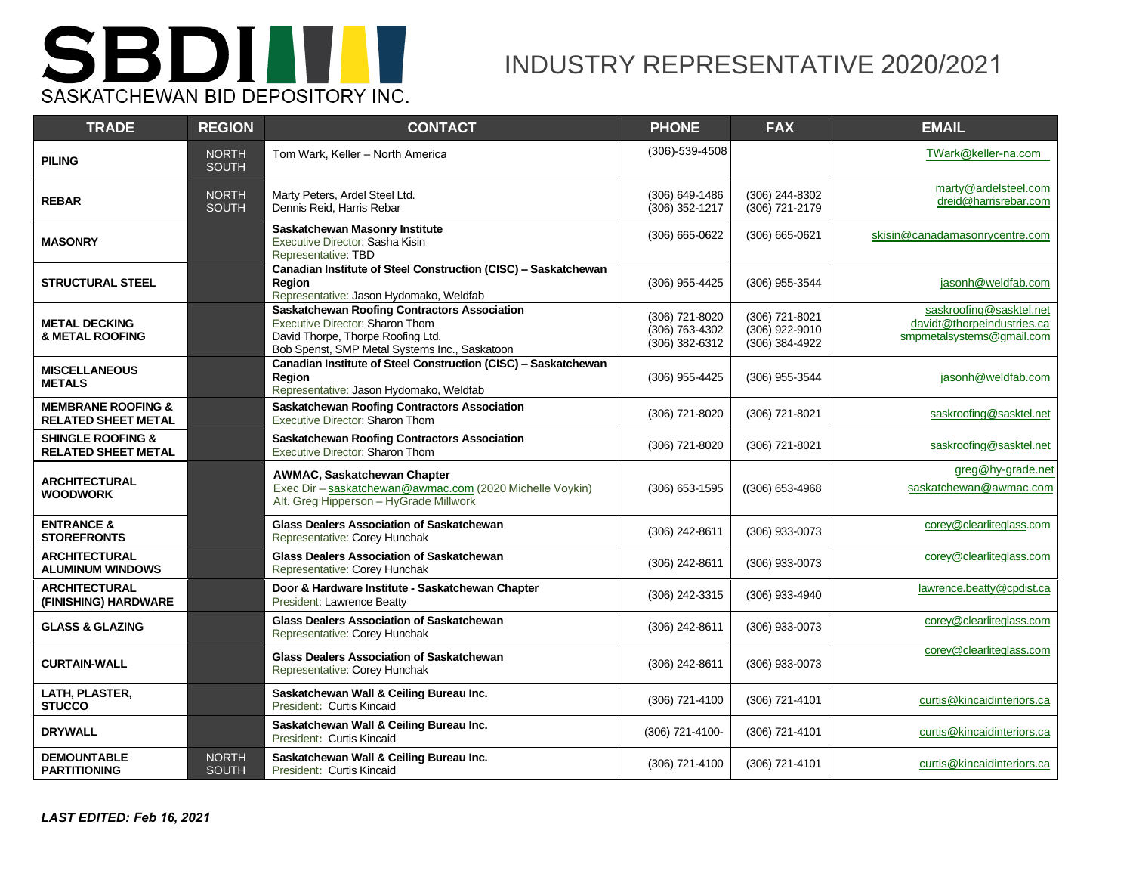

## INDUSTRY REPRESENTATIVE 2020/2021

| <b>TRADE</b>                                                | <b>REGION</b>                | <b>CONTACT</b>                                                                                                                                                                      | <b>PHONE</b>                                           | <b>FAX</b>                                           | <b>EMAIL</b>                                                                       |
|-------------------------------------------------------------|------------------------------|-------------------------------------------------------------------------------------------------------------------------------------------------------------------------------------|--------------------------------------------------------|------------------------------------------------------|------------------------------------------------------------------------------------|
| <b>PILING</b>                                               | <b>NORTH</b><br><b>SOUTH</b> | Tom Wark, Keller - North America                                                                                                                                                    | $(306) - 539 - 4508$                                   |                                                      | TWark@keller-na.com                                                                |
| <b>REBAR</b>                                                | <b>NORTH</b><br><b>SOUTH</b> | Marty Peters, Ardel Steel Ltd.<br>Dennis Reid, Harris Rebar                                                                                                                         | (306) 649-1486<br>$(306)$ 352-1217                     | (306) 244-8302<br>(306) 721-2179                     | marty@ardelsteel.com<br>dreid@harrisrebar.com                                      |
| <b>MASONRY</b>                                              |                              | <b>Saskatchewan Masonry Institute</b><br>Executive Director: Sasha Kisin<br>Representative: TBD                                                                                     | (306) 665-0622                                         | (306) 665-0621                                       | skisin@canadamasonrycentre.com                                                     |
| <b>STRUCTURAL STEEL</b>                                     |                              | Canadian Institute of Steel Construction (CISC) - Saskatchewan<br>Region<br>Representative: Jason Hydomako, Weldfab                                                                 | (306) 955-4425                                         | (306) 955-3544                                       | jasonh@weldfab.com                                                                 |
| <b>METAL DECKING</b><br><b>&amp; METAL ROOFING</b>          |                              | <b>Saskatchewan Roofing Contractors Association</b><br><b>Executive Director: Sharon Thom</b><br>David Thorpe, Thorpe Roofing Ltd.<br>Bob Spenst, SMP Metal Systems Inc., Saskatoon | (306) 721-8020<br>$(306)$ 763-4302<br>$(306)$ 382-6312 | (306) 721-8021<br>(306) 922-9010<br>$(306)$ 384-4922 | saskroofing@sasktel.net<br>davidt@thorpeindustries.ca<br>smpmetalsystems@gmail.com |
| <b>MISCELLANEOUS</b><br><b>METALS</b>                       |                              | Canadian Institute of Steel Construction (CISC) - Saskatchewan<br>Region<br>Representative: Jason Hydomako, Weldfab                                                                 | (306) 955-4425                                         | (306) 955-3544                                       | jasonh@weldfab.com                                                                 |
| <b>MEMBRANE ROOFING &amp;</b><br><b>RELATED SHEET METAL</b> |                              | <b>Saskatchewan Roofing Contractors Association</b><br>Executive Director: Sharon Thom                                                                                              | (306) 721-8020                                         | (306) 721-8021                                       | saskroofing@sasktel.net                                                            |
| <b>SHINGLE ROOFING &amp;</b><br><b>RELATED SHEET METAL</b>  |                              | <b>Saskatchewan Roofing Contractors Association</b><br>Executive Director: Sharon Thom                                                                                              | (306) 721-8020                                         | (306) 721-8021                                       | saskroofing@sasktel.net                                                            |
| <b>ARCHITECTURAL</b><br><b>WOODWORK</b>                     |                              | AWMAC, Saskatchewan Chapter<br>Exec Dir - saskatchewan@awmac.com (2020 Michelle Voykin)<br>Alt. Greg Hipperson - HyGrade Millwork                                                   | $(306)$ 653-1595                                       | $((306) 653 - 4968)$                                 | greg@hy-grade.net<br>saskatchewan@awmac.com                                        |
| <b>ENTRANCE &amp;</b><br><b>STOREFRONTS</b>                 |                              | <b>Glass Dealers Association of Saskatchewan</b><br>Representative: Corey Hunchak                                                                                                   | (306) 242-8611                                         | (306) 933-0073                                       | corey@clearliteglass.com                                                           |
| <b>ARCHITECTURAL</b><br><b>ALUMINUM WINDOWS</b>             |                              | <b>Glass Dealers Association of Saskatchewan</b><br>Representative: Corey Hunchak                                                                                                   | (306) 242-8611                                         | (306) 933-0073                                       | corey@clearliteglass.com                                                           |
| <b>ARCHITECTURAL</b><br>(FINISHING) HARDWARE                |                              | Door & Hardware Institute - Saskatchewan Chapter<br>President: Lawrence Beatty                                                                                                      | (306) 242-3315                                         | (306) 933-4940                                       | lawrence.beatty@cpdist.ca                                                          |
| <b>GLASS &amp; GLAZING</b>                                  |                              | <b>Glass Dealers Association of Saskatchewan</b><br>Representative: Corey Hunchak                                                                                                   | (306) 242-8611                                         | (306) 933-0073                                       | corey@clearliteglass.com                                                           |
| <b>CURTAIN-WALL</b>                                         |                              | <b>Glass Dealers Association of Saskatchewan</b><br>Representative: Corey Hunchak                                                                                                   | (306) 242-8611                                         | (306) 933-0073                                       | corey@clearliteglass.com                                                           |
| LATH, PLASTER,<br><b>STUCCO</b>                             |                              | Saskatchewan Wall & Ceiling Bureau Inc.<br>President: Curtis Kincaid                                                                                                                | (306) 721-4100                                         | (306) 721-4101                                       | curtis@kincaidinteriors.ca                                                         |
| <b>DRYWALL</b>                                              |                              | Saskatchewan Wall & Ceiling Bureau Inc.<br>President: Curtis Kincaid                                                                                                                | (306) 721-4100-                                        | (306) 721-4101                                       | curtis@kincaidinteriors.ca                                                         |
| <b>DEMOUNTABLE</b><br><b>PARTITIONING</b>                   | <b>NORTH</b><br><b>SOUTH</b> | Saskatchewan Wall & Ceiling Bureau Inc.<br>President: Curtis Kincaid                                                                                                                | (306) 721-4100                                         | (306) 721-4101                                       | curtis@kincaidinteriors.ca                                                         |